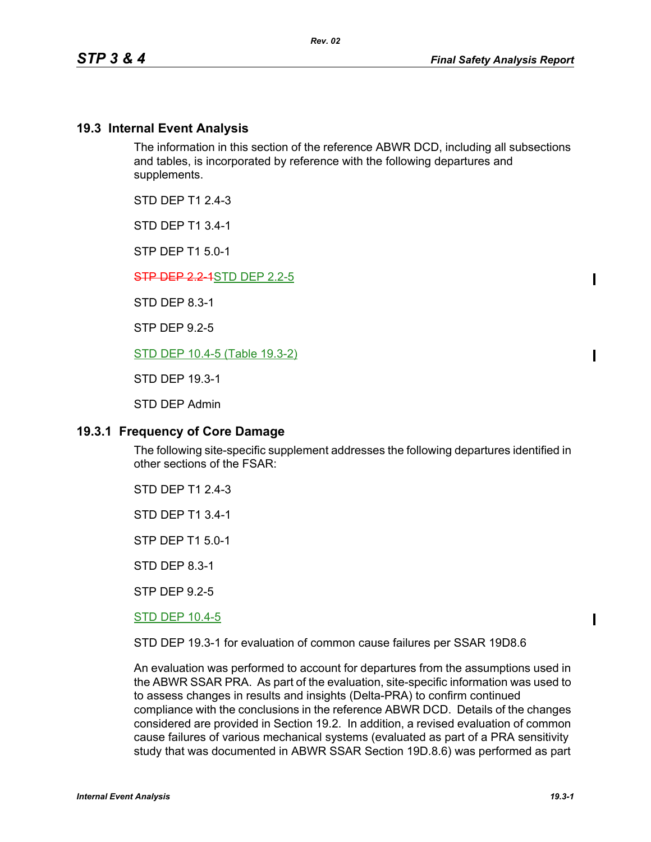$\mathbf I$ 

 $\blacksquare$ 

 $\mathbf I$ 

#### **19.3 Internal Event Analysis**

The information in this section of the reference ABWR DCD, including all subsections and tables, is incorporated by reference with the following departures and supplements.

STD DFP T1 2 4-3

STD DEP T1 3.4-1

STP DEP T1 5.0-1

**STP DEP 2.2-1STD DEP 2.2-5** 

STD DEP 8.3-1

STP DEP 9.2-5

STD DEP 10.4-5 (Table 19.3-2)

STD DEP 19.3-1

STD DEP Admin

### **19.3.1 Frequency of Core Damage**

The following site-specific supplement addresses the following departures identified in other sections of the FSAR:

STD DEP T1 2.4-3

STD DEP T1 3.4-1

STP DEP T1 5.0-1

STD DEP 8.3-1

STP DEP 9.2-5

#### STD DEP 10.4-5

STD DEP 19.3-1 for evaluation of common cause failures per SSAR 19D8.6

An evaluation was performed to account for departures from the assumptions used in the ABWR SSAR PRA. As part of the evaluation, site-specific information was used to to assess changes in results and insights (Delta-PRA) to confirm continued compliance with the conclusions in the reference ABWR DCD. Details of the changes considered are provided in Section 19.2. In addition, a revised evaluation of common cause failures of various mechanical systems (evaluated as part of a PRA sensitivity study that was documented in ABWR SSAR Section 19D.8.6) was performed as part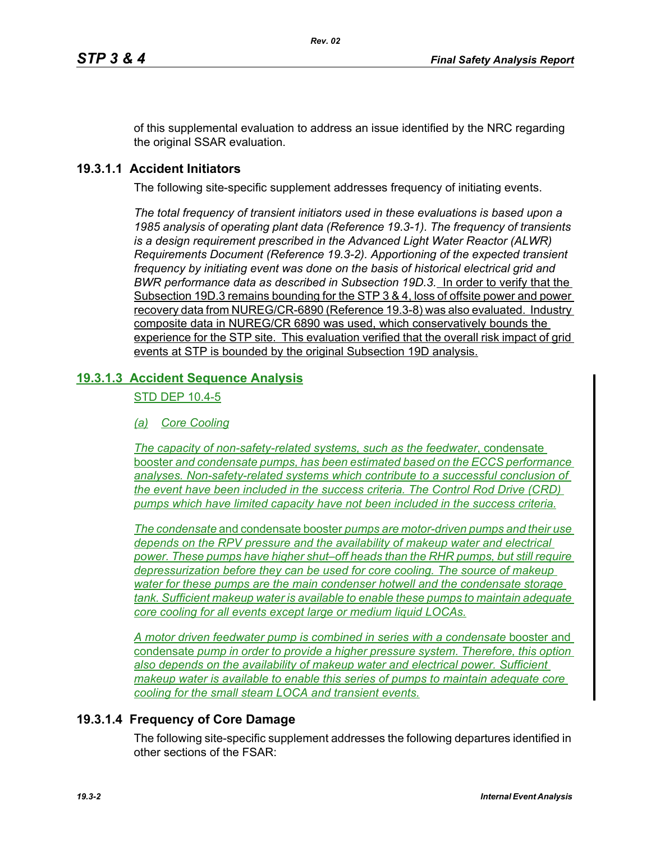of this supplemental evaluation to address an issue identified by the NRC regarding the original SSAR evaluation.

# **19.3.1.1 Accident Initiators**

The following site-specific supplement addresses frequency of initiating events.

*The total frequency of transient initiators used in these evaluations is based upon a 1985 analysis of operating plant data (Reference 19.3-1). The frequency of transients is a design requirement prescribed in the Advanced Light Water Reactor (ALWR) Requirements Document (Reference 19.3-2). Apportioning of the expected transient frequency by initiating event was done on the basis of historical electrical grid and BWR performance data as described in Subsection 19D.3.* In order to verify that the Subsection 19D.3 remains bounding for the STP 3 & 4, loss of offsite power and power recovery data from NUREG/CR-6890 (Reference 19.3-8) was also evaluated. Industry composite data in NUREG/CR 6890 was used, which conservatively bounds the experience for the STP site. This evaluation verified that the overall risk impact of grid events at STP is bounded by the original Subsection 19D analysis.

# **19.3.1.3 Accident Sequence Analysis**

STD DEP 10.4-5

## *(a) Core Cooling*

*The capacity of non-safety-related systems, such as the feedwater*, condensate booster *and condensate pumps, has been estimated based on the ECCS performance analyses. Non-safety-related systems which contribute to a successful conclusion of the event have been included in the success criteria. The Control Rod Drive (CRD) pumps which have limited capacity have not been included in the success criteria.*

*The condensate* and condensate booster *pumps are motor-driven pumps and their use depends on the RPV pressure and the availability of makeup water and electrical power. These pumps have higher shut–off heads than the RHR pumps, but still require depressurization before they can be used for core cooling. The source of makeup water for these pumps are the main condenser hotwell and the condensate storage tank. Sufficient makeup water is available to enable these pumps to maintain adequate core cooling for all events except large or medium liquid LOCAs.*

*A motor driven feedwater pump is combined in series with a condensate* booster and condensate *pump in order to provide a higher pressure system. Therefore, this option also depends on the availability of makeup water and electrical power. Sufficient makeup water is available to enable this series of pumps to maintain adequate core cooling for the small steam LOCA and transient events.*

## **19.3.1.4 Frequency of Core Damage**

The following site-specific supplement addresses the following departures identified in other sections of the FSAR: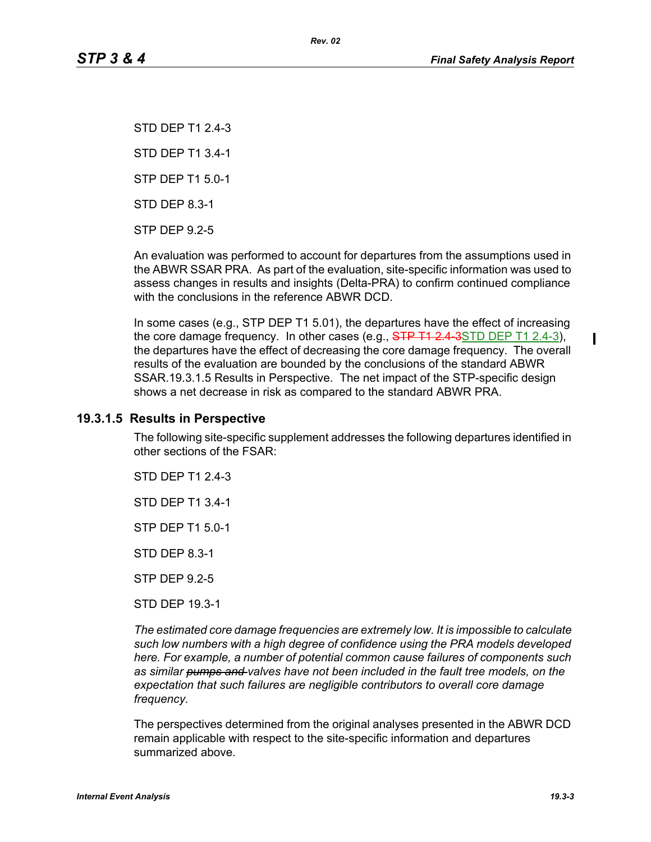STD DEP T1 2.4-3 STD DEP T1 3.4-1 STP DEP T1 5.0-1 STD DEP 8.3-1 STP DEP 9.2-5

An evaluation was performed to account for departures from the assumptions used in the ABWR SSAR PRA. As part of the evaluation, site-specific information was used to assess changes in results and insights (Delta-PRA) to confirm continued compliance with the conclusions in the reference ABWR DCD.

In some cases (e.g., STP DEP T1 5.01), the departures have the effect of increasing the core damage frequency. In other cases (e.g., STP T1 2.4-3STD DEP T1 2.4-3), the departures have the effect of decreasing the core damage frequency. The overall results of the evaluation are bounded by the conclusions of the standard ABWR SSAR.19.3.1.5 Results in Perspective. The net impact of the STP-specific design shows a net decrease in risk as compared to the standard ABWR PRA.

#### **19.3.1.5 Results in Perspective**

The following site-specific supplement addresses the following departures identified in other sections of the FSAR:

STD DEP T1 2.4-3

STD DEP T1 3.4-1

STP DEP T1 5.0-1

STD DEP 8.3-1

STP DEP 9.2-5

STD DEP 19.3-1

*The estimated core damage frequencies are extremely low. It is impossible to calculate such low numbers with a high degree of confidence using the PRA models developed here. For example, a number of potential common cause failures of components such as similar pumps and valves have not been included in the fault tree models, on the expectation that such failures are negligible contributors to overall core damage frequency.*

The perspectives determined from the original analyses presented in the ABWR DCD remain applicable with respect to the site-specific information and departures summarized above.

 $\mathbf I$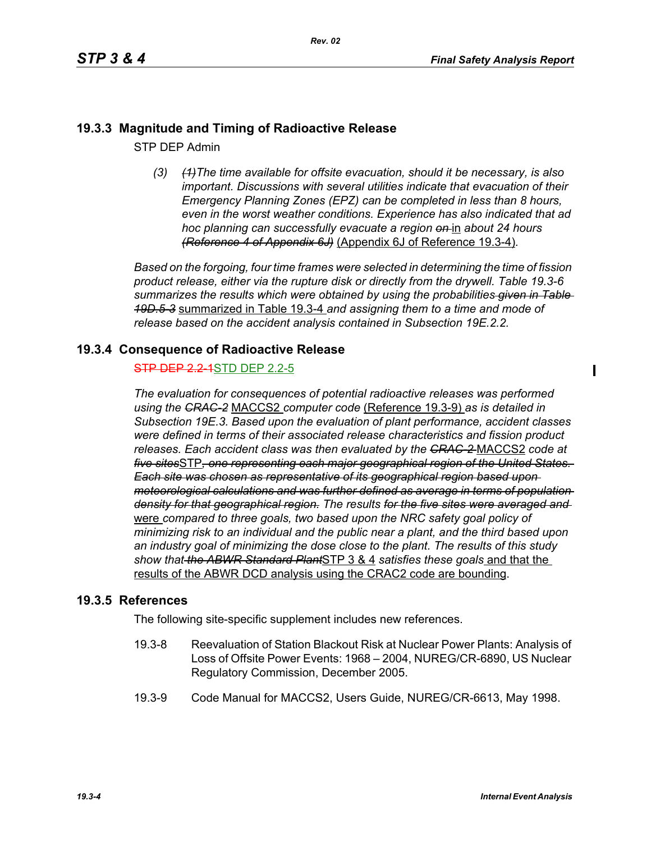Π

### **19.3.3 Magnitude and Timing of Radioactive Release**

STP DEP Admin

*(3) (1)The time available for offsite evacuation, should it be necessary, is also important. Discussions with several utilities indicate that evacuation of their Emergency Planning Zones (EPZ) can be completed in less than 8 hours, even in the worst weather conditions. Experience has also indicated that ad hoc planning can successfully evacuate a region on* in *about 24 hours (Reference 4 of Appendix 6J)* (Appendix 6J of Reference 19.3-4)*.*

*Based on the forgoing, four time frames were selected in determining the time of fission product release, either via the rupture disk or directly from the drywell. Table 19.3-6 summarizes the results which were obtained by using the probabilities given in Table 19D.5-3* summarized in Table 19.3-4 *and assigning them to a time and mode of release based on the accident analysis contained in Subsection 19E.2.2.*

#### **19.3.4 Consequence of Radioactive Release**

**STP DEP 2.2-1STD DEP 2.2-5** 

*The evaluation for consequences of potential radioactive releases was performed using the CRAC-2* MACCS2 *computer code* (Reference 19.3-9) *as is detailed in Subsection 19E.3. Based upon the evaluation of plant performance, accident classes were defined in terms of their associated release characteristics and fission product releases. Each accident class was then evaluated by the CRAC-2* MACCS2 *code at five sites*STP*, one representing each major geographical region of the United States. Each site was chosen as representative of its geographical region based upon meteorological calculations and was further defined as average in terms of population density for that geographical region. The results for the five sites were averaged and*  were *compared to three goals, two based upon the NRC safety goal policy of minimizing risk to an individual and the public near a plant, and the third based upon an industry goal of minimizing the dose close to the plant. The results of this study show that the ABWR Standard Plant*STP 3 & 4 *satisfies these goals* and that the results of the ABWR DCD analysis using the CRAC2 code are bounding.

#### **19.3.5 References**

The following site-specific supplement includes new references.

- 19.3-8 Reevaluation of Station Blackout Risk at Nuclear Power Plants: Analysis of Loss of Offsite Power Events: 1968 – 2004, NUREG/CR-6890, US Nuclear Regulatory Commission, December 2005.
- 19.3-9 Code Manual for MACCS2, Users Guide, NUREG/CR-6613, May 1998.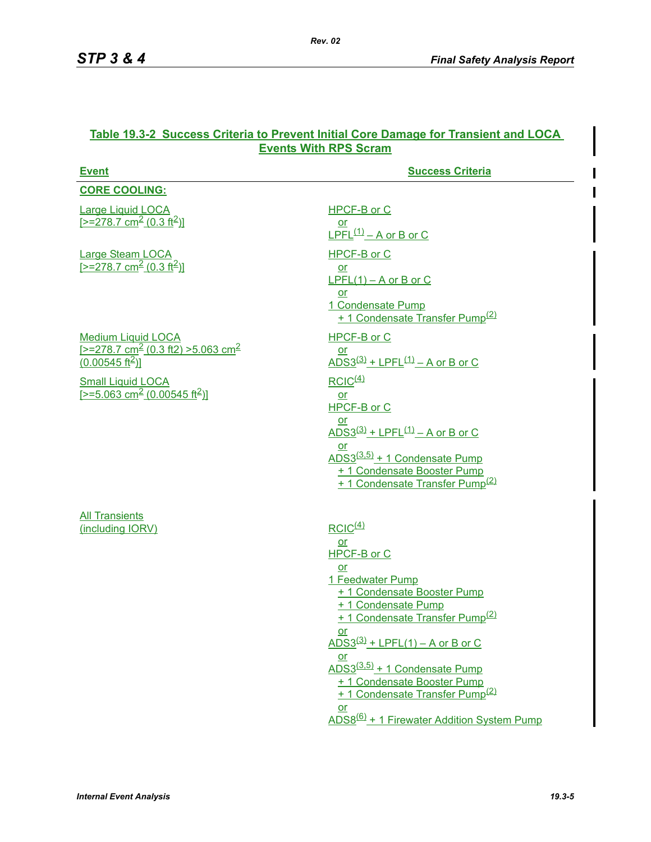| <b>Event</b>                                                                                                                                                                                                      | <b>Success Criteria</b>                                                                                                                                                                                                                                                                                                                                                 |
|-------------------------------------------------------------------------------------------------------------------------------------------------------------------------------------------------------------------|-------------------------------------------------------------------------------------------------------------------------------------------------------------------------------------------------------------------------------------------------------------------------------------------------------------------------------------------------------------------------|
| <b>CORE COOLING:</b>                                                                                                                                                                                              |                                                                                                                                                                                                                                                                                                                                                                         |
| Large Liquid LOCA<br>$[>=278.7 \text{ cm}^2 (0.3 \text{ ft}^2)]$                                                                                                                                                  | HPCF-B or C<br>$or$<br>$L$ PFL $^{(1)}$ – A or B or C                                                                                                                                                                                                                                                                                                                   |
| Large Steam LOCA<br>$[>=278.7$ cm <sup>2</sup> (0.3 ft <sup>2</sup> )]                                                                                                                                            | HPCF-B or C<br><u>or</u><br>$LPFL(1) - A$ or B or C<br>$or$<br>1 Condensate Pump<br>+ 1 Condensate Transfer Pump <sup>(2)</sup>                                                                                                                                                                                                                                         |
| <b>Medium Liquid LOCA</b><br><u>I &gt; = 278.7 cm<sup>2</sup> (0.3 ft2) &gt; 5.063 cm<sup>2</sup></u><br>$(0.00545 \text{ ft}^2)$ ]<br><b>Small Liquid LOCA</b><br>$[-5.063 \text{ cm}^2 (0.00545 \text{ ft}^2)]$ | HPCF-B or C<br><u>or</u><br>$\frac{\text{ADS3}^{(3)} + \text{LPFL}^{(1)} - \text{A or B or C}}{(\text{A or B or C})}$<br>RCIC <sup>(4)</sup><br>$or$<br>HPCF-B or C<br>or<br>$ADS3^{(3)} + LPFL^{(1)} - A$ or B or C<br>$or$<br>ADS3 <sup>(3,5)</sup> + 1 Condensate Pump<br>+ 1 Condensate Booster Pump<br>+ 1 Condensate Transfer Pump <sup>(2)</sup>                 |
| <b>All Transients</b><br>(including IORV)                                                                                                                                                                         | RCIC <sup>(4)</sup><br><u>or</u><br>HPCF-B or C<br>or<br>1 Feedwater Pump<br>+ 1 Condensate Booster Pump<br>+ 1 Condensate Pump<br>+ 1 Condensate Transfer Pump <sup>(2)</sup><br>or<br>ADS3 $(3)$ + LPFL(1) – A or B or C<br>$or$<br>$\overline{ADS3^{(3.5)} + 1}$ Condensate Pump<br>+ 1 Condensate Booster Pump<br>+ 1 Condensate Transfer Pump <sup>(2)</sup><br>or |

### **Table 19.3-2 Success Criteria to Prevent Initial Core Damage for Transient and LOCA Events With RPS Scram**

ADS8(6) + 1 Firewater Addition System Pump